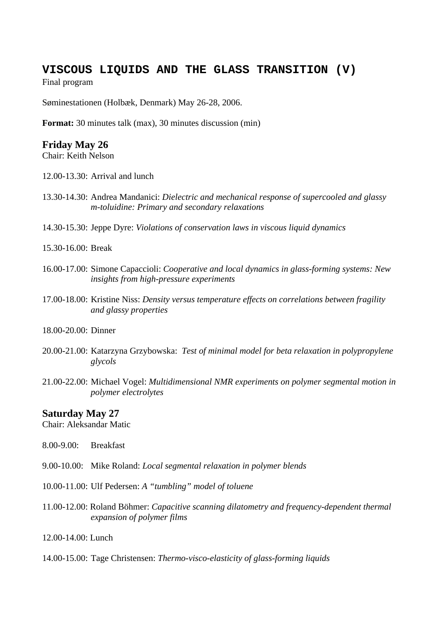# **VISCOUS LIQUIDS AND THE GLASS TRANSITION (V)**

Final program

Søminestationen (Holbæk, Denmark) May 26-28, 2006.

**Format:** 30 minutes talk (max), 30 minutes discussion (min)

# **Friday May 26**

Chair: Keith Nelson

12.00-13.30: Arrival and lunch

13.30-14.30: Andrea Mandanici: *Dielectric and mechanical response of supercooled and glassy m-toluidine: Primary and secondary relaxations*

14.30-15.30: Jeppe Dyre: *Violations of conservation laws in viscous liquid dynamics* 

15.30-16.00: Break

- 16.00-17.00: Simone Capaccioli: *Cooperative and local dynamics in glass-forming systems: New insights from high-pressure experiments*
- 17.00-18.00: Kristine Niss: *Density versus temperature effects on correlations between fragility and glassy properties*
- 18.00-20.00: Dinner
- 20.00-21.00: Katarzyna Grzybowska: *Test of minimal model for beta relaxation in polypropylene glycols*
- 21.00-22.00: Michael Vogel: *Multidimensional NMR experiments on polymer segmental motion in polymer electrolytes*

# **Saturday May 27**

Chair: Aleksandar Matic

8.00-9.00: Breakfast

9.00-10.00: Mike Roland: *Local segmental relaxation in polymer blends* 

10.00-11.00: Ulf Pedersen: *A "tumbling" model of toluene*

11.00-12.00: Roland Böhmer: *Capacitive scanning dilatometry and frequency-dependent thermal expansion of polymer films*

12.00-14.00: Lunch

14.00-15.00: Tage Christensen: *Thermo-visco-elasticity of glass-forming liquids*